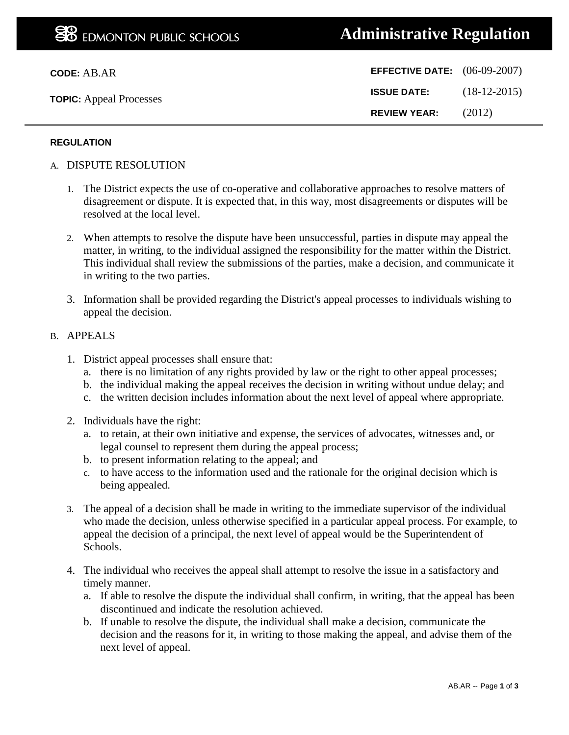| <b>EFFECTIVE DATE:</b> $(06-09-2007)$ |                |
|---------------------------------------|----------------|
| <b>ISSUE DATE:</b>                    | $(18-12-2015)$ |
| <b>REVIEW YEAR:</b>                   | (2012)         |

### **REGULATION**

- A. DISPUTE RESOLUTION
	- 1. The District expects the use of co-operative and collaborative approaches to resolve matters of disagreement or dispute. It is expected that, in this way, most disagreements or disputes will be resolved at the local level.
	- 2. When attempts to resolve the dispute have been unsuccessful, parties in dispute may appeal the matter, in writing, to the individual assigned the responsibility for the matter within the District. This individual shall review the submissions of the parties, make a decision, and communicate it in writing to the two parties.
	- 3. Information shall be provided regarding the District's appeal processes to individuals wishing to appeal the decision.

#### B. APPEALS

- 1. District appeal processes shall ensure that:
	- a. there is no limitation of any rights provided by law or the right to other appeal processes;
	- b. the individual making the appeal receives the decision in writing without undue delay; and
	- c. the written decision includes information about the next level of appeal where appropriate.
- 2. Individuals have the right:
	- a. to retain, at their own initiative and expense, the services of advocates, witnesses and, or legal counsel to represent them during the appeal process;
	- b. to present information relating to the appeal; and
	- c. to have access to the information used and the rationale for the original decision which is being appealed.
- 3. The appeal of a decision shall be made in writing to the immediate supervisor of the individual who made the decision, unless otherwise specified in a particular appeal process. For example, to appeal the decision of a principal, the next level of appeal would be the Superintendent of Schools.
- 4. The individual who receives the appeal shall attempt to resolve the issue in a satisfactory and timely manner.
	- a. If able to resolve the dispute the individual shall confirm, in writing, that the appeal has been discontinued and indicate the resolution achieved.
	- b. If unable to resolve the dispute, the individual shall make a decision, communicate the decision and the reasons for it, in writing to those making the appeal, and advise them of the next level of appeal.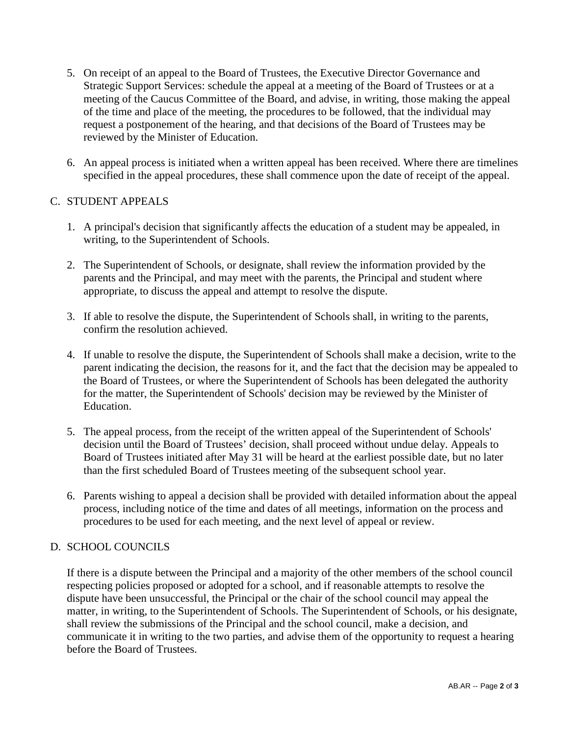- 5. On receipt of an appeal to the Board of Trustees, the Executive Director Governance and Strategic Support Services: schedule the appeal at a meeting of the Board of Trustees or at a meeting of the Caucus Committee of the Board, and advise, in writing, those making the appeal of the time and place of the meeting, the procedures to be followed, that the individual may request a postponement of the hearing, and that decisions of the Board of Trustees may be reviewed by the Minister of Education.
- 6. An appeal process is initiated when a written appeal has been received. Where there are timelines specified in the appeal procedures, these shall commence upon the date of receipt of the appeal.

# C. STUDENT APPEALS

- 1. A principal's decision that significantly affects the education of a student may be appealed, in writing, to the Superintendent of Schools.
- 2. The Superintendent of Schools, or designate, shall review the information provided by the parents and the Principal, and may meet with the parents, the Principal and student where appropriate, to discuss the appeal and attempt to resolve the dispute.
- 3. If able to resolve the dispute, the Superintendent of Schools shall, in writing to the parents, confirm the resolution achieved.
- 4. If unable to resolve the dispute, the Superintendent of Schools shall make a decision, write to the parent indicating the decision, the reasons for it, and the fact that the decision may be appealed to the Board of Trustees, or where the Superintendent of Schools has been delegated the authority for the matter, the Superintendent of Schools' decision may be reviewed by the Minister of Education.
- 5. The appeal process, from the receipt of the written appeal of the Superintendent of Schools' decision until the Board of Trustees' decision, shall proceed without undue delay. Appeals to Board of Trustees initiated after May 31 will be heard at the earliest possible date, but no later than the first scheduled Board of Trustees meeting of the subsequent school year.
- 6. Parents wishing to appeal a decision shall be provided with detailed information about the appeal process, including notice of the time and dates of all meetings, information on the process and procedures to be used for each meeting, and the next level of appeal or review.

## D. SCHOOL COUNCILS

If there is a dispute between the Principal and a majority of the other members of the school council respecting policies proposed or adopted for a school, and if reasonable attempts to resolve the dispute have been unsuccessful, the Principal or the chair of the school council may appeal the matter, in writing, to the Superintendent of Schools. The Superintendent of Schools, or his designate, shall review the submissions of the Principal and the school council, make a decision, and communicate it in writing to the two parties, and advise them of the opportunity to request a hearing before the Board of Trustees.